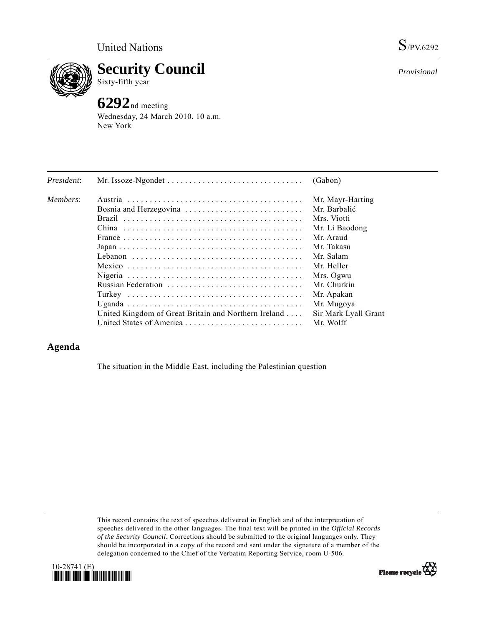

**Security Council**  Sixty-fifth year

## **6292**nd meeting

Wednesday, 24 March 2010, 10 a.m. New York

| President: |                                                      | (Gabon)              |
|------------|------------------------------------------------------|----------------------|
| Members:   |                                                      | Mr. Mayr-Harting     |
|            | Bosnia and Herzegovina                               | Mr. Barbalić         |
|            |                                                      | Mrs. Viotti          |
|            |                                                      | Mr. Li Baodong       |
|            |                                                      | Mr. Araud            |
|            |                                                      | Mr. Takasu           |
|            |                                                      | Mr. Salam            |
|            |                                                      | Mr. Heller           |
|            |                                                      | Mrs. Ogwu            |
|            | Russian Federation                                   | Mr. Churkin          |
|            |                                                      | Mr. Apakan           |
|            |                                                      | Mr. Mugoya           |
|            | United Kingdom of Great Britain and Northern Ireland | Sir Mark Lyall Grant |
|            | United States of America                             | Mr. Wolff            |

## **Agenda**

The situation in the Middle East, including the Palestinian question

This record contains the text of speeches delivered in English and of the interpretation of speeches delivered in the other languages. The final text will be printed in the *Official Records of the Security Council*. Corrections should be submitted to the original languages only. They should be incorporated in a copy of the record and sent under the signature of a member of the delegation concerned to the Chief of the Verbatim Reporting Service, room U-506.



*Provisional*

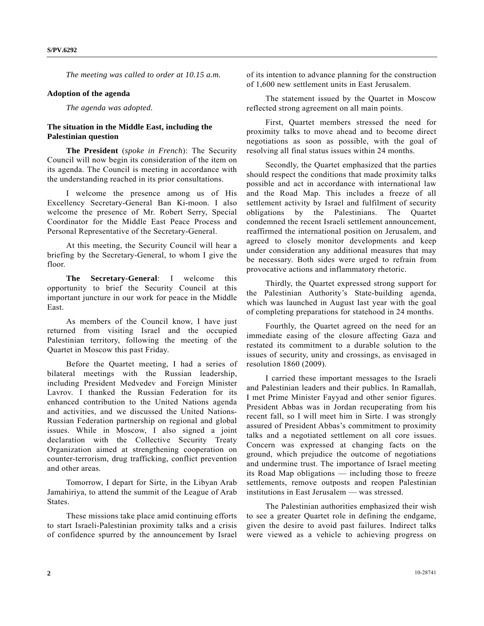*The meeting was called to order at 10.15 a.m.* 

## **Adoption of the agenda**

*The agenda was adopted.* 

## **The situation in the Middle East, including the Palestinian question**

 **The President** (*spoke in French*): The Security Council will now begin its consideration of the item on its agenda. The Council is meeting in accordance with the understanding reached in its prior consultations.

 I welcome the presence among us of His Excellency Secretary-General Ban Ki-moon. I also welcome the presence of Mr. Robert Serry, Special Coordinator for the Middle East Peace Process and Personal Representative of the Secretary-General.

 At this meeting, the Security Council will hear a briefing by the Secretary-General, to whom I give the floor.

 **The Secretary-General**: I welcome this opportunity to brief the Security Council at this important juncture in our work for peace in the Middle East.

 As members of the Council know, I have just returned from visiting Israel and the occupied Palestinian territory, following the meeting of the Quartet in Moscow this past Friday.

 Before the Quartet meeting, I had a series of bilateral meetings with the Russian leadership, including President Medvedev and Foreign Minister Lavrov. I thanked the Russian Federation for its enhanced contribution to the United Nations agenda and activities, and we discussed the United Nations-Russian Federation partnership on regional and global issues. While in Moscow, I also signed a joint declaration with the Collective Security Treaty Organization aimed at strengthening cooperation on counter-terrorism, drug trafficking, conflict prevention and other areas.

 Tomorrow, I depart for Sirte, in the Libyan Arab Jamahiriya, to attend the summit of the League of Arab States.

 These missions take place amid continuing efforts to start Israeli-Palestinian proximity talks and a crisis of confidence spurred by the announcement by Israel

of its intention to advance planning for the construction of 1,600 new settlement units in East Jerusalem.

 The statement issued by the Quartet in Moscow reflected strong agreement on all main points.

 First, Quartet members stressed the need for proximity talks to move ahead and to become direct negotiations as soon as possible, with the goal of resolving all final status issues within 24 months.

 Secondly, the Quartet emphasized that the parties should respect the conditions that made proximity talks possible and act in accordance with international law and the Road Map. This includes a freeze of all settlement activity by Israel and fulfilment of security obligations by the Palestinians. The Quartet condemned the recent Israeli settlement announcement, reaffirmed the international position on Jerusalem, and agreed to closely monitor developments and keep under consideration any additional measures that may be necessary. Both sides were urged to refrain from provocative actions and inflammatory rhetoric.

 Thirdly, the Quartet expressed strong support for the Palestinian Authority's State-building agenda, which was launched in August last year with the goal of completing preparations for statehood in 24 months.

 Fourthly, the Quartet agreed on the need for an immediate easing of the closure affecting Gaza and restated its commitment to a durable solution to the issues of security, unity and crossings, as envisaged in resolution 1860 (2009).

 I carried these important messages to the Israeli and Palestinian leaders and their publics. In Ramallah, I met Prime Minister Fayyad and other senior figures. President Abbas was in Jordan recuperating from his recent fall, so I will meet him in Sirte. I was strongly assured of President Abbas's commitment to proximity talks and a negotiated settlement on all core issues. Concern was expressed at changing facts on the ground, which prejudice the outcome of negotiations and undermine trust. The importance of Israel meeting its Road Map obligations — including those to freeze settlements, remove outposts and reopen Palestinian institutions in East Jerusalem — was stressed.

 The Palestinian authorities emphasized their wish to see a greater Quartet role in defining the endgame, given the desire to avoid past failures. Indirect talks were viewed as a vehicle to achieving progress on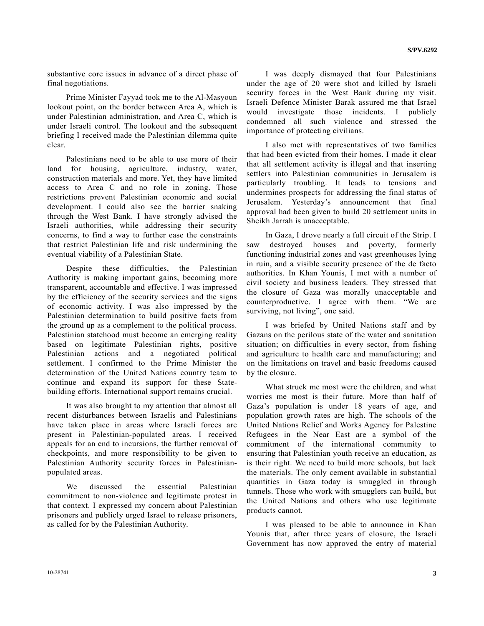substantive core issues in advance of a direct phase of final negotiations.

Prime Minister Fayyad took me to the Al-Masyoun lookout point, on the border between Area A, which is under Palestinian administration, and Area C, which is under Israeli control. The lookout and the subsequent briefing I received made the Palestinian dilemma quite clear.

 Palestinians need to be able to use more of their land for housing, agriculture, industry, water, construction materials and more. Yet, they have limited access to Area C and no role in zoning. Those restrictions prevent Palestinian economic and social development. I could also see the barrier snaking through the West Bank. I have strongly advised the Israeli authorities, while addressing their security concerns, to find a way to further ease the constraints that restrict Palestinian life and risk undermining the eventual viability of a Palestinian State.

 Despite these difficulties, the Palestinian Authority is making important gains, becoming more transparent, accountable and effective. I was impressed by the efficiency of the security services and the signs of economic activity. I was also impressed by the Palestinian determination to build positive facts from the ground up as a complement to the political process. Palestinian statehood must become an emerging reality based on legitimate Palestinian rights, positive Palestinian actions and a negotiated political settlement. I confirmed to the Prime Minister the determination of the United Nations country team to continue and expand its support for these Statebuilding efforts. International support remains crucial.

 It was also brought to my attention that almost all recent disturbances between Israelis and Palestinians have taken place in areas where Israeli forces are present in Palestinian-populated areas. I received appeals for an end to incursions, the further removal of checkpoints, and more responsibility to be given to Palestinian Authority security forces in Palestinianpopulated areas.

 We discussed the essential Palestinian commitment to non-violence and legitimate protest in that context. I expressed my concern about Palestinian prisoners and publicly urged Israel to release prisoners, as called for by the Palestinian Authority.

 I was deeply dismayed that four Palestinians under the age of 20 were shot and killed by Israeli security forces in the West Bank during my visit. Israeli Defence Minister Barak assured me that Israel would investigate those incidents. I publicly condemned all such violence and stressed the importance of protecting civilians.

 I also met with representatives of two families that had been evicted from their homes. I made it clear that all settlement activity is illegal and that inserting settlers into Palestinian communities in Jerusalem is particularly troubling. It leads to tensions and undermines prospects for addressing the final status of Jerusalem. Yesterday's announcement that final approval had been given to build 20 settlement units in Sheikh Jarrah is unacceptable.

 In Gaza, I drove nearly a full circuit of the Strip. I saw destroyed houses and poverty, formerly functioning industrial zones and vast greenhouses lying in ruin, and a visible security presence of the de facto authorities. In Khan Younis, I met with a number of civil society and business leaders. They stressed that the closure of Gaza was morally unacceptable and counterproductive. I agree with them. "We are surviving, not living", one said.

 I was briefed by United Nations staff and by Gazans on the perilous state of the water and sanitation situation; on difficulties in every sector, from fishing and agriculture to health care and manufacturing; and on the limitations on travel and basic freedoms caused by the closure.

 What struck me most were the children, and what worries me most is their future. More than half of Gaza's population is under 18 years of age, and population growth rates are high. The schools of the United Nations Relief and Works Agency for Palestine Refugees in the Near East are a symbol of the commitment of the international community to ensuring that Palestinian youth receive an education, as is their right. We need to build more schools, but lack the materials. The only cement available in substantial quantities in Gaza today is smuggled in through tunnels. Those who work with smugglers can build, but the United Nations and others who use legitimate products cannot.

 I was pleased to be able to announce in Khan Younis that, after three years of closure, the Israeli Government has now approved the entry of material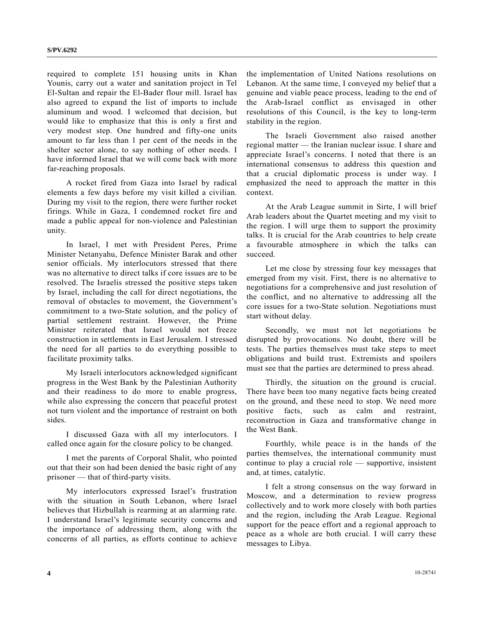required to complete 151 housing units in Khan Younis, carry out a water and sanitation project in Tel El-Sultan and repair the El-Bader flour mill. Israel has also agreed to expand the list of imports to include aluminum and wood. I welcomed that decision, but would like to emphasize that this is only a first and very modest step. One hundred and fifty-one units amount to far less than 1 per cent of the needs in the shelter sector alone, to say nothing of other needs. I have informed Israel that we will come back with more far-reaching proposals.

 A rocket fired from Gaza into Israel by radical elements a few days before my visit killed a civilian. During my visit to the region, there were further rocket firings. While in Gaza, I condemned rocket fire and made a public appeal for non-violence and Palestinian unity.

 In Israel, I met with President Peres, Prime Minister Netanyahu, Defence Minister Barak and other senior officials. My interlocutors stressed that there was no alternative to direct talks if core issues are to be resolved. The Israelis stressed the positive steps taken by Israel, including the call for direct negotiations, the removal of obstacles to movement, the Government's commitment to a two-State solution, and the policy of partial settlement restraint. However, the Prime Minister reiterated that Israel would not freeze construction in settlements in East Jerusalem. I stressed the need for all parties to do everything possible to facilitate proximity talks.

 My Israeli interlocutors acknowledged significant progress in the West Bank by the Palestinian Authority and their readiness to do more to enable progress, while also expressing the concern that peaceful protest not turn violent and the importance of restraint on both sides.

 I discussed Gaza with all my interlocutors. I called once again for the closure policy to be changed.

 I met the parents of Corporal Shalit, who pointed out that their son had been denied the basic right of any prisoner — that of third-party visits.

 My interlocutors expressed Israel's frustration with the situation in South Lebanon, where Israel believes that Hizbullah is rearming at an alarming rate. I understand Israel's legitimate security concerns and the importance of addressing them, along with the concerns of all parties, as efforts continue to achieve

the implementation of United Nations resolutions on Lebanon. At the same time, I conveyed my belief that a genuine and viable peace process, leading to the end of the Arab-Israel conflict as envisaged in other resolutions of this Council, is the key to long-term stability in the region.

 The Israeli Government also raised another regional matter — the Iranian nuclear issue. I share and appreciate Israel's concerns. I noted that there is an international consensus to address this question and that a crucial diplomatic process is under way. I emphasized the need to approach the matter in this context.

 At the Arab League summit in Sirte, I will brief Arab leaders about the Quartet meeting and my visit to the region. I will urge them to support the proximity talks. It is crucial for the Arab countries to help create a favourable atmosphere in which the talks can succeed.

 Let me close by stressing four key messages that emerged from my visit. First, there is no alternative to negotiations for a comprehensive and just resolution of the conflict, and no alternative to addressing all the core issues for a two-State solution. Negotiations must start without delay.

 Secondly, we must not let negotiations be disrupted by provocations. No doubt, there will be tests. The parties themselves must take steps to meet obligations and build trust. Extremists and spoilers must see that the parties are determined to press ahead.

 Thirdly, the situation on the ground is crucial. There have been too many negative facts being created on the ground, and these need to stop. We need more positive facts, such as calm and restraint, reconstruction in Gaza and transformative change in the West Bank.

 Fourthly, while peace is in the hands of the parties themselves, the international community must continue to play a crucial role — supportive, insistent and, at times, catalytic.

 I felt a strong consensus on the way forward in Moscow, and a determination to review progress collectively and to work more closely with both parties and the region, including the Arab League. Regional support for the peace effort and a regional approach to peace as a whole are both crucial. I will carry these messages to Libya.